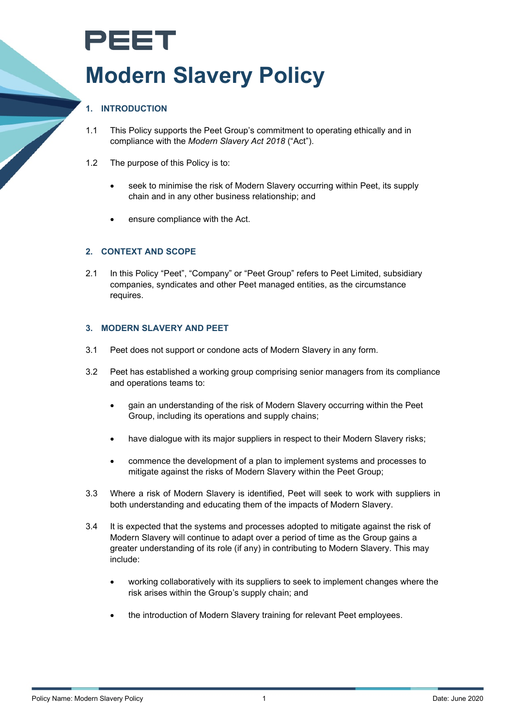# PEET **Modern Slavery Policy**

# **1. INTRODUCTION**

- 1.1 This Policy supports the Peet Group's commitment to operating ethically and in compliance with the *Modern Slavery Act 2018* ("Act").
- 1.2 The purpose of this Policy is to:
	- seek to minimise the risk of Modern Slavery occurring within Peet, its supply chain and in any other business relationship; and
	- ensure compliance with the Act.

#### **2. CONTEXT AND SCOPE**

2.1 In this Policy "Peet", "Company" or "Peet Group" refers to Peet Limited, subsidiary companies, syndicates and other Peet managed entities, as the circumstance requires.

#### **3. MODERN SLAVERY AND PEET**

- 3.1 Peet does not support or condone acts of Modern Slavery in any form.
- 3.2 Peet has established a working group comprising senior managers from its compliance and operations teams to:
	- gain an understanding of the risk of Modern Slavery occurring within the Peet Group, including its operations and supply chains;
	- have dialogue with its major suppliers in respect to their Modern Slavery risks;
	- commence the development of a plan to implement systems and processes to mitigate against the risks of Modern Slavery within the Peet Group;
- 3.3 Where a risk of Modern Slavery is identified, Peet will seek to work with suppliers in both understanding and educating them of the impacts of Modern Slavery.
- 3.4 It is expected that the systems and processes adopted to mitigate against the risk of Modern Slavery will continue to adapt over a period of time as the Group gains a greater understanding of its role (if any) in contributing to Modern Slavery. This may include:
	- working collaboratively with its suppliers to seek to implement changes where the risk arises within the Group's supply chain; and
	- the introduction of Modern Slavery training for relevant Peet employees.